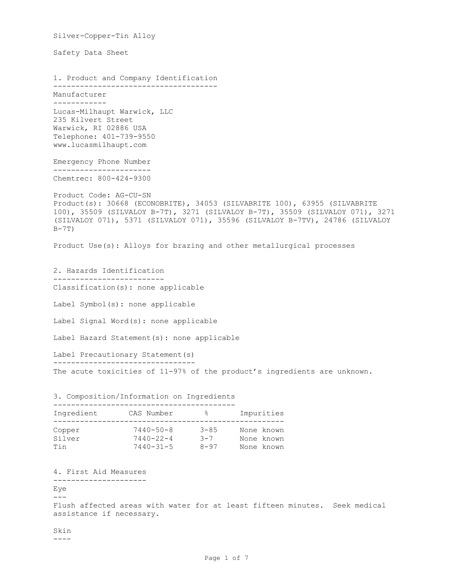Silver-Copper-Tin Alloy Safety Data Sheet 1. Product and Company Identification ------------------------------------- Manufacturer ------------ Lucas-Milhaupt Warwick, LLC 235 Kilvert Street Warwick, RI 02886 USA Telephone: 401-739-9550 www.lucasmilhaupt.com Emergency Phone Number ---------------------- Chemtrec: 800-424-9300 Product Code: AG-CU-SN Product(s): 30668 (ECONOBRITE), 34053 (SILVABRITE 100), 63955 (SILVABRITE 100), 35509 (SILVALOY B-7T), 3271 (SILVALOY B-7T), 35509 (SILVALOY 071), 3271 (SILVALOY 071), 5371 (SILVALOY 071), 35596 (SILVALOY B-7TV), 24786 (SILVALOY  $B-7T$ ) Product Use(s): Alloys for brazing and other metallurgical processes 2. Hazards Identification ------------------------- Classification(s): none applicable Label Symbol(s): none applicable Label Signal Word(s): none applicable Label Hazard Statement(s): none applicable Label Precautionary Statement(s) -------------------------------- The acute toxicities of 11-97% of the product's ingredients are unknown. 3. Composition/Information on Ingredients ----------------------------------------- Ingredient CAS Number % Impurities ---------------------------------------------------- Copper 7440-50-8 3-85 None known Silver 7440-22-4 3-7 None known Tin 7440-31-5 8-97 None known 4. First Aid Measures --------------------- Eye  $---$ Flush affected areas with water for at least fifteen minutes. Seek medical assistance if necessary. Skin ----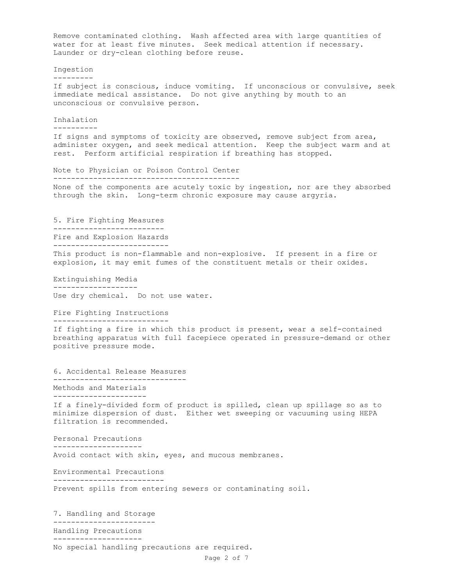Page 2 of 7 Remove contaminated clothing. Wash affected area with large quantities of water for at least five minutes. Seek medical attention if necessary. Launder or dry-clean clothing before reuse. Ingestion --------- If subject is conscious, induce vomiting. If unconscious or convulsive, seek immediate medical assistance. Do not give anything by mouth to an unconscious or convulsive person. Inhalation ---------- If signs and symptoms of toxicity are observed, remove subject from area, administer oxygen, and seek medical attention. Keep the subject warm and at rest. Perform artificial respiration if breathing has stopped. Note to Physician or Poison Control Center ------------------------------------------ None of the components are acutely toxic by ingestion, nor are they absorbed through the skin. Long-term chronic exposure may cause argyria. 5. Fire Fighting Measures ------------------------- Fire and Explosion Hazards -------------------------- This product is non-flammable and non-explosive. If present in a fire or explosion, it may emit fumes of the constituent metals or their oxides. Extinguishing Media ------------------- Use dry chemical. Do not use water. Fire Fighting Instructions -------------------------- If fighting a fire in which this product is present, wear a self-contained breathing apparatus with full facepiece operated in pressure-demand or other positive pressure mode. 6. Accidental Release Measures ------------------------------ Methods and Materials --------------------- If a finely-divided form of product is spilled, clean up spillage so as to minimize dispersion of dust. Either wet sweeping or vacuuming using HEPA filtration is recommended. Personal Precautions -------------------- Avoid contact with skin, eyes, and mucous membranes. Environmental Precautions ------------------------- Prevent spills from entering sewers or contaminating soil. 7. Handling and Storage ----------------------- Handling Precautions -------------------- No special handling precautions are required.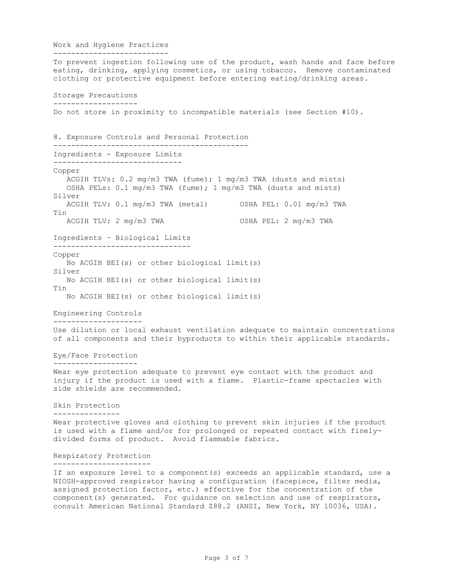Work and Hygiene Practices -------------------------- To prevent ingestion following use of the product, wash hands and face before eating, drinking, applying cosmetics, or using tobacco. Remove contaminated clothing or protective equipment before entering eating/drinking areas. Storage Precautions ------------------- Do not store in proximity to incompatible materials (see Section #10). 8. Exposure Controls and Personal Protection -------------------------------------------- Ingredients - Exposure Limits ----------------------------- Copper ACGIH TLVs: 0.2 mg/m3 TWA (fume); 1 mg/m3 TWA (dusts and mists) OSHA PELs: 0.1 mg/m3 TWA (fume); 1 mg/m3 TWA (dusts and mists) Silver ACGIH TLV: 0.1 mg/m3 TWA (metal) OSHA PEL: 0.01 mg/m3 TWA Tin ACGIH TLV: 2 mg/m3 TWA OSHA PEL: 2 mg/m3 TWA Ingredients – Biological Limits ------------------------------- Copper No ACGIH BEI(s) or other biological limit(s) Silver No ACGIH BEI(s) or other biological limit(s) Tin No ACGIH BEI(s) or other biological limit(s) Engineering Controls -------------------- Use dilution or local exhaust ventilation adequate to maintain concentrations of all components and their byproducts to within their applicable standards. Eye/Face Protection ------------------- Wear eye protection adequate to prevent eye contact with the product and injury if the product is used with a flame. Plastic-frame spectacles with side shields are recommended. Skin Protection --------------- Wear protective gloves and clothing to prevent skin injuries if the product is used with a flame and/or for prolonged or repeated contact with finelydivided forms of product. Avoid flammable fabrics. Respiratory Protection ---------------------- If an exposure level to a component(s) exceeds an applicable standard, use a NIOSH-approved respirator having a configuration (facepiece, filter media, assigned protection factor, etc.) effective for the concentration of the component(s) generated. For guidance on selection and use of respirators, consult American National Standard Z88.2 (ANSI, New York, NY 10036, USA).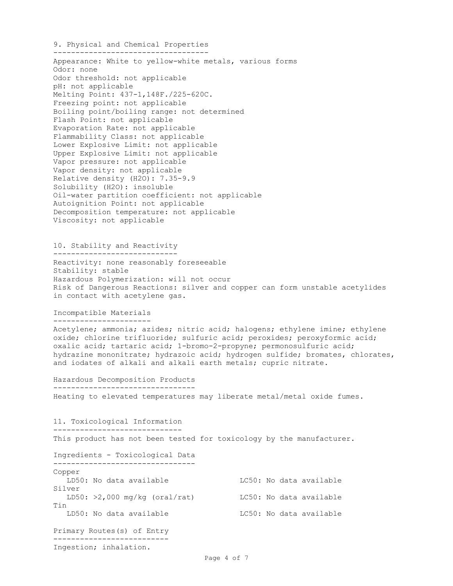9. Physical and Chemical Properties ----------------------------------- Appearance: White to yellow-white metals, various forms Odor: none Odor threshold: not applicable pH: not applicable Melting Point: 437-1,148F./225-620C. Freezing point: not applicable Boiling point/boiling range: not determined Flash Point: not applicable Evaporation Rate: not applicable Flammability Class: not applicable Lower Explosive Limit: not applicable Upper Explosive Limit: not applicable Vapor pressure: not applicable Vapor density: not applicable Relative density (H2O): 7.35-9.9 Solubility (H2O): insoluble Oil-water partition coefficient: not applicable Autoignition Point: not applicable Decomposition temperature: not applicable Viscosity: not applicable 10. Stability and Reactivity ---------------------------- Reactivity: none reasonably foreseeable Stability: stable Hazardous Polymerization: will not occur Risk of Dangerous Reactions: silver and copper can form unstable acetylides in contact with acetylene gas. Incompatible Materials ---------------------- Acetylene; ammonia; azides; nitric acid; halogens; ethylene imine; ethylene oxide; chlorine trifluoride; sulfuric acid; peroxides; peroxyformic acid; oxalic acid; tartaric acid; 1-bromo-2-propyne; permonosulfuric acid; hydrazine mononitrate; hydrazoic acid; hydrogen sulfide; bromates, chlorates, and iodates of alkali and alkali earth metals; cupric nitrate. Hazardous Decomposition Products -------------------------------- Heating to elevated temperatures may liberate metal/metal oxide fumes. 11. Toxicological Information ----------------------------- This product has not been tested for toxicology by the manufacturer. Ingredients - Toxicological Data -------------------------------- Copper LD50: No data available LC50: No data available Silver LD50: >2,000 mg/kg (oral/rat) LC50: No data available Tin LD50: No data available LC50: No data available Primary Routes(s) of Entry -------------------------- Ingestion; inhalation.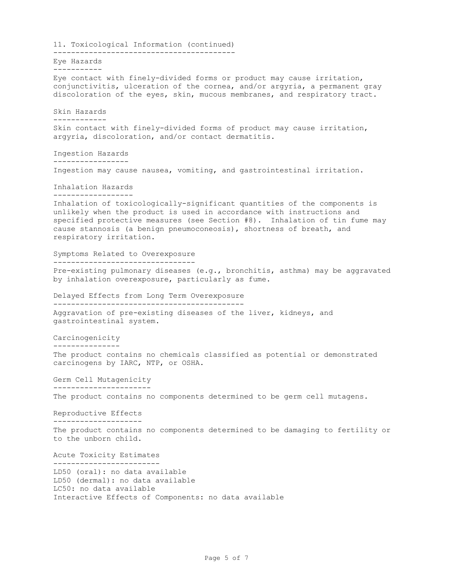11. Toxicological Information (continued) ----------------------------------------- Eye Hazards ----------- Eye contact with finely-divided forms or product may cause irritation, conjunctivitis, ulceration of the cornea, and/or argyria, a permanent gray discoloration of the eyes, skin, mucous membranes, and respiratory tract. Skin Hazards ------------ Skin contact with finely-divided forms of product may cause irritation, argyria, discoloration, and/or contact dermatitis. Ingestion Hazards ----------------- Ingestion may cause nausea, vomiting, and gastrointestinal irritation. Inhalation Hazards ------------------ Inhalation of toxicologically-significant quantities of the components is unlikely when the product is used in accordance with instructions and specified protective measures (see Section #8). Inhalation of tin fume may cause stannosis (a benign pneumoconeosis), shortness of breath, and respiratory irritation. Symptoms Related to Overexposure -------------------------------- Pre-existing pulmonary diseases (e.g., bronchitis, asthma) may be aggravated by inhalation overexposure, particularly as fume. Delayed Effects from Long Term Overexposure ------------------------------------------- Aggravation of pre-existing diseases of the liver, kidneys, and gastrointestinal system. Carcinogenicity --------------- The product contains no chemicals classified as potential or demonstrated carcinogens by IARC, NTP, or OSHA. Germ Cell Mutagenicity ---------------------- The product contains no components determined to be germ cell mutagens. Reproductive Effects -------------------- The product contains no components determined to be damaging to fertility or to the unborn child. Acute Toxicity Estimates ------------------------ LD50 (oral): no data available LD50 (dermal): no data available LC50: no data available Interactive Effects of Components: no data available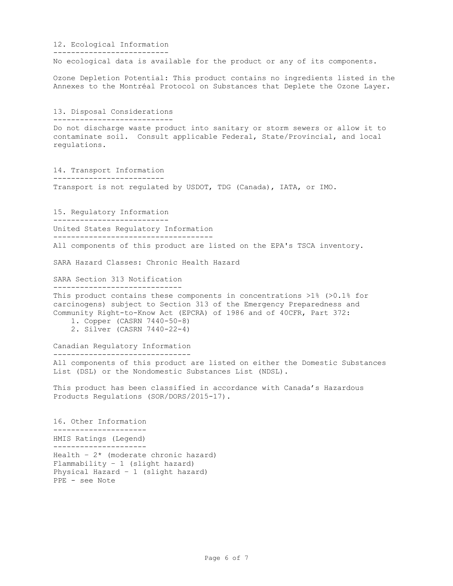12. Ecological Information -------------------------- No ecological data is available for the product or any of its components. Ozone Depletion Potential: This product contains no ingredients listed in the Annexes to the Montréal Protocol on Substances that Deplete the Ozone Layer. 13. Disposal Considerations --------------------------- Do not discharge waste product into sanitary or storm sewers or allow it to contaminate soil. Consult applicable Federal, State/Provincial, and local regulations. 14. Transport Information ------------------------- Transport is not regulated by USDOT, TDG (Canada), IATA, or IMO. 15. Regulatory Information -------------------------- United States Regulatory Information ------------------------------------ All components of this product are listed on the EPA's TSCA inventory. SARA Hazard Classes: Chronic Health Hazard SARA Section 313 Notification ----------------------------- This product contains these components in concentrations >1% (>0.1% for carcinogens) subject to Section 313 of the Emergency Preparedness and Community Right-to-Know Act (EPCRA) of 1986 and of 40CFR, Part 372: 1. Copper (CASRN 7440-50-8) 2. Silver (CASRN 7440-22-4) Canadian Regulatory Information ------------------------------- All components of this product are listed on either the Domestic Substances List (DSL) or the Nondomestic Substances List (NDSL). This product has been classified in accordance with Canada's Hazardous Products Regulations (SOR/DORS/2015-17). 16. Other Information --------------------- HMIS Ratings (Legend) --------------------- Health -  $2*$  (moderate chronic hazard) Flammability – 1 (slight hazard) Physical Hazard – 1 (slight hazard) PPE - see Note